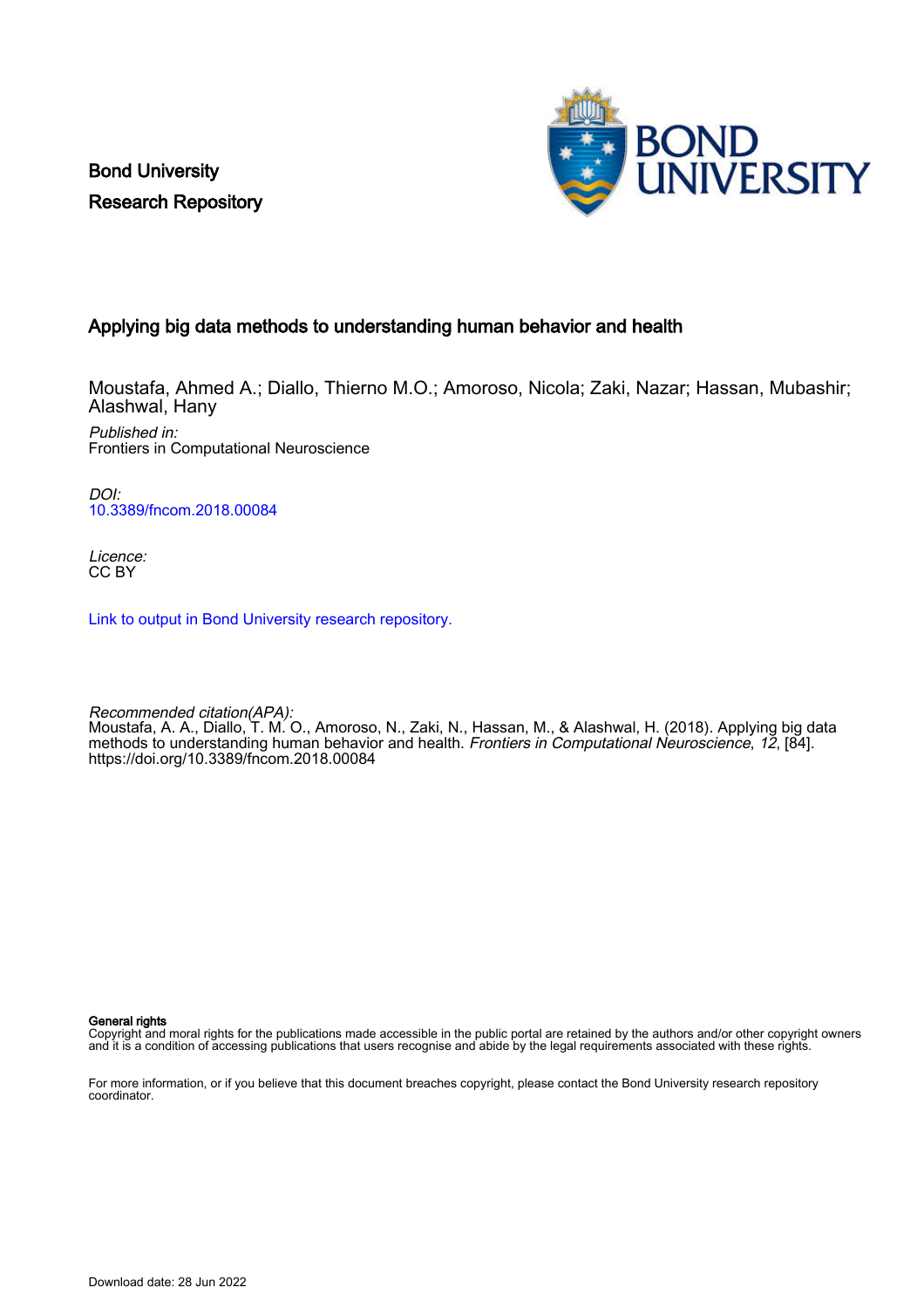Bond University Research Repository



#### Applying big data methods to understanding human behavior and health

Moustafa, Ahmed A.; Diallo, Thierno M.O.; Amoroso, Nicola; Zaki, Nazar; Hassan, Mubashir; Alashwal, Hany Published in: Frontiers in Computational Neuroscience

DOI: [10.3389/fncom.2018.00084](https://doi.org/10.3389/fncom.2018.00084)

Licence: CC BY

[Link to output in Bond University research repository.](https://research.bond.edu.au/en/publications/98fcb008-d156-4d8f-8f89-33ab46897b07)

Recommended citation(APA): Moustafa, A. A., Diallo, T. M. O., Amoroso, N., Zaki, N., Hassan, M., & Alashwal, H. (2018). Applying big data methods to understanding human behavior and health. *Frontiers in Computational Neuroscience*, 12, [84]. <https://doi.org/10.3389/fncom.2018.00084>

General rights

Copyright and moral rights for the publications made accessible in the public portal are retained by the authors and/or other copyright owners and it is a condition of accessing publications that users recognise and abide by the legal requirements associated with these rights.

For more information, or if you believe that this document breaches copyright, please contact the Bond University research repository coordinator.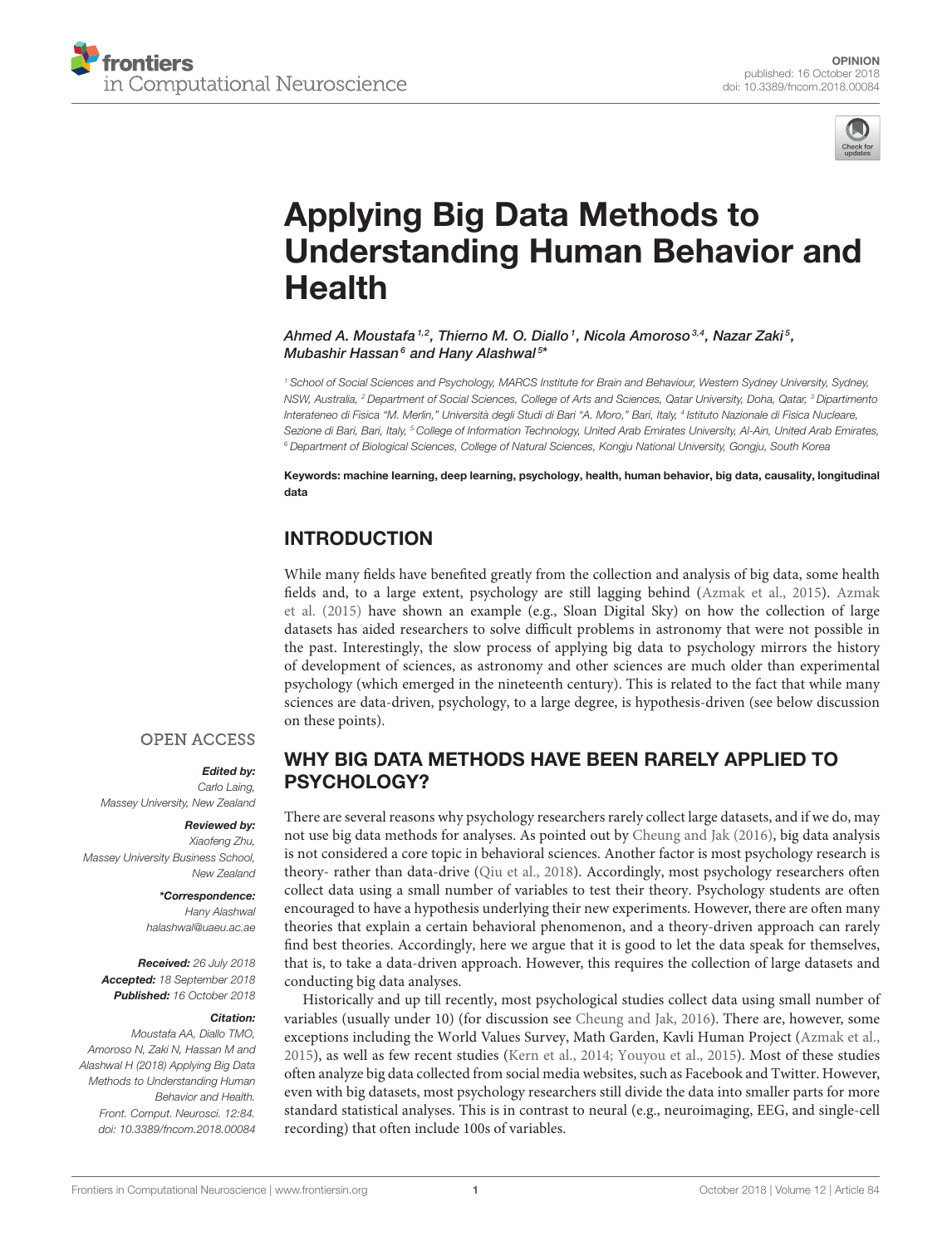



# Applying Big Data Methods to [Understanding Human Behavior and](https://www.frontiersin.org/articles/10.3389/fncom.2018.00084/full) Health

[Ahmed A. Moustafa](http://loop.frontiersin.org/people/15417/overview)<sup>1,2</sup>, Thierno M. O. Diallo<sup>1</sup>, Nicola Amoroso<sup>3,4</sup>, Nazar Zaki<sup>5</sup>, Mubashir Hassan $^6$  and [Hany Alashwal](http://loop.frontiersin.org/people/594020/overview) $^{5\star}$ 

<sup>1</sup> School of Social Sciences and Psychology, MARCS Institute for Brain and Behaviour, Western Sydney University, Sydney, NSW, Australia, <sup>2</sup> Department of Social Sciences, College of Arts and Sciences, Qatar University, Doha, Qatar, <sup>3</sup> Dipartimento Interateneo di Fisica "M. Merlin," Università degli Studi di Bari "A. Moro," Bari, Italy, <sup>4</sup> Istituto Nazionale di Fisica Nucleare, Sezione di Bari, Bari, Italy, <sup>5</sup> College of Information Technology, United Arab Emirates University, Al-Ain, United Arab Emirates, <sup>6</sup> Department of Biological Sciences, College of Natural Sciences, Kongju National University, Gongju, South Korea

Keywords: machine learning, deep learning, psychology, health, human behavior, big data, causality, longitudinal data

## INTRODUCTION

While many fields have benefited greatly from the collection and analysis of big data, some health fields and, to a large extent, psychology are still lagging behind [\(Azmak et al., 2015\)](#page-4-0). Azmak et al. [\(2015\)](#page-4-0) have shown an example (e.g., Sloan Digital Sky) on how the collection of large datasets has aided researchers to solve difficult problems in astronomy that were not possible in the past. Interestingly, the slow process of applying big data to psychology mirrors the history of development of sciences, as astronomy and other sciences are much older than experimental psychology (which emerged in the nineteenth century). This is related to the fact that while many sciences are data-driven, psychology, to a large degree, is hypothesis-driven (see below discussion on these points).

#### **OPEN ACCESS**

#### Edited by:

Carlo Laing, Massey University, New Zealand

#### Reviewed by:

Xiaofeng Zhu, Massey University Business School, New Zealand

#### \*Correspondence:

Hany Alashwal [halashwal@uaeu.ac.ae](mailto:halashwal@uaeu.ac.ae)

Received: 26 July 2018 Accepted: 18 September 2018 Published: 16 October 2018

#### Citation:

Moustafa AA, Diallo TMO, Amoroso N, Zaki N, Hassan M and Alashwal H (2018) Applying Big Data Methods to Understanding Human Behavior and Health. Front. Comput. Neurosci. 12:84. doi: [10.3389/fncom.2018.00084](https://doi.org/10.3389/fncom.2018.00084)

#### WHY BIG DATA METHODS HAVE BEEN RARELY APPLIED TO PSYCHOLOGY?

There are several reasons why psychology researchers rarely collect large datasets, and if we do, may not use big data methods for analyses. As pointed out by [Cheung and Jak \(2016\)](#page-4-1), big data analysis is not considered a core topic in behavioral sciences. Another factor is most psychology research is theory- rather than data-drive [\(Qiu et al., 2018\)](#page-4-2). Accordingly, most psychology researchers often collect data using a small number of variables to test their theory. Psychology students are often encouraged to have a hypothesis underlying their new experiments. However, there are often many theories that explain a certain behavioral phenomenon, and a theory-driven approach can rarely find best theories. Accordingly, here we argue that it is good to let the data speak for themselves, that is, to take a data-driven approach. However, this requires the collection of large datasets and conducting big data analyses.

Historically and up till recently, most psychological studies collect data using small number of variables (usually under 10) (for discussion see [Cheung and Jak, 2016\)](#page-4-1). There are, however, some exceptions including the World Values Survey, Math Garden, Kavli Human Project [\(Azmak et al.,](#page-4-0) [2015\)](#page-4-0), as well as few recent studies [\(Kern et al., 2014;](#page-4-3) [Youyou et al., 2015\)](#page-4-4). Most of these studies often analyze big data collected from social media websites, such as Facebook and Twitter. However, even with big datasets, most psychology researchers still divide the data into smaller parts for more standard statistical analyses. This is in contrast to neural (e.g., neuroimaging, EEG, and single-cell recording) that often include 100s of variables.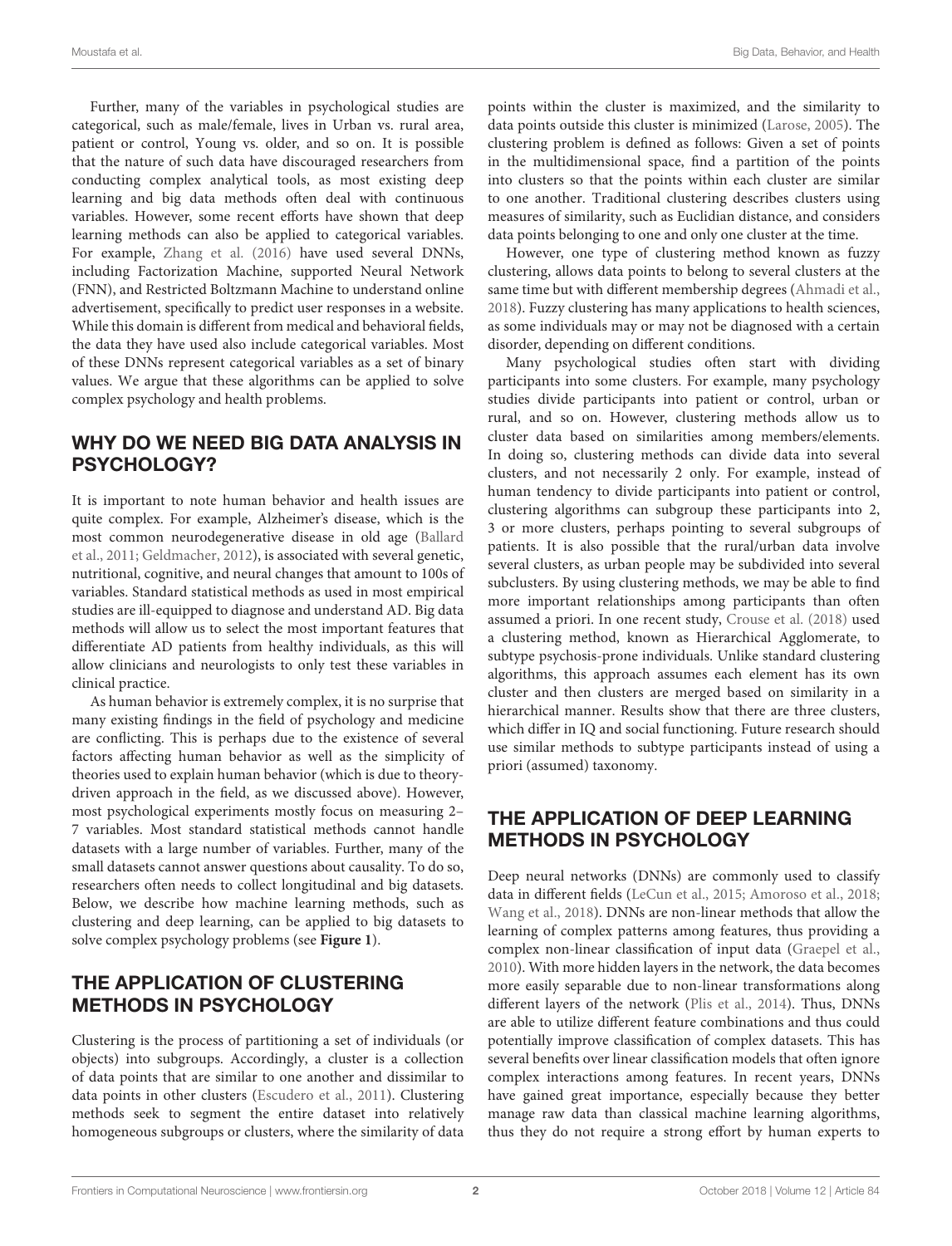Further, many of the variables in psychological studies are categorical, such as male/female, lives in Urban vs. rural area, patient or control, Young vs. older, and so on. It is possible that the nature of such data have discouraged researchers from conducting complex analytical tools, as most existing deep learning and big data methods often deal with continuous variables. However, some recent efforts have shown that deep learning methods can also be applied to categorical variables. For example, [Zhang et al. \(2016\)](#page-4-5) have used several DNNs, including Factorization Machine, supported Neural Network (FNN), and Restricted Boltzmann Machine to understand online advertisement, specifically to predict user responses in a website. While this domain is different from medical and behavioral fields, the data they have used also include categorical variables. Most of these DNNs represent categorical variables as a set of binary values. We argue that these algorithms can be applied to solve complex psychology and health problems.

#### WHY DO WE NEED BIG DATA ANALYSIS IN PSYCHOLOGY?

It is important to note human behavior and health issues are quite complex. For example, Alzheimer's disease, which is the most common neurodegenerative disease in old age (Ballard et al., [2011;](#page-4-6) [Geldmacher, 2012\)](#page-4-7), is associated with several genetic, nutritional, cognitive, and neural changes that amount to 100s of variables. Standard statistical methods as used in most empirical studies are ill-equipped to diagnose and understand AD. Big data methods will allow us to select the most important features that differentiate AD patients from healthy individuals, as this will allow clinicians and neurologists to only test these variables in clinical practice.

As human behavior is extremely complex, it is no surprise that many existing findings in the field of psychology and medicine are conflicting. This is perhaps due to the existence of several factors affecting human behavior as well as the simplicity of theories used to explain human behavior (which is due to theorydriven approach in the field, as we discussed above). However, most psychological experiments mostly focus on measuring 2– 7 variables. Most standard statistical methods cannot handle datasets with a large number of variables. Further, many of the small datasets cannot answer questions about causality. To do so, researchers often needs to collect longitudinal and big datasets. Below, we describe how machine learning methods, such as clustering and deep learning, can be applied to big datasets to solve complex psychology problems (see **[Figure 1](#page-3-0)**).

## THE APPLICATION OF CLUSTERING METHODS IN PSYCHOLOGY

Clustering is the process of partitioning a set of individuals (or objects) into subgroups. Accordingly, a cluster is a collection of data points that are similar to one another and dissimilar to data points in other clusters [\(Escudero et al., 2011\)](#page-4-8). Clustering methods seek to segment the entire dataset into relatively homogeneous subgroups or clusters, where the similarity of data points within the cluster is maximized, and the similarity to data points outside this cluster is minimized [\(Larose, 2005\)](#page-4-9). The clustering problem is defined as follows: Given a set of points in the multidimensional space, find a partition of the points into clusters so that the points within each cluster are similar to one another. Traditional clustering describes clusters using measures of similarity, such as Euclidian distance, and considers data points belonging to one and only one cluster at the time.

However, one type of clustering method known as fuzzy clustering, allows data points to belong to several clusters at the same time but with different membership degrees [\(Ahmadi et al.,](#page-4-10) [2018\)](#page-4-10). Fuzzy clustering has many applications to health sciences, as some individuals may or may not be diagnosed with a certain disorder, depending on different conditions.

Many psychological studies often start with dividing participants into some clusters. For example, many psychology studies divide participants into patient or control, urban or rural, and so on. However, clustering methods allow us to cluster data based on similarities among members/elements. In doing so, clustering methods can divide data into several clusters, and not necessarily 2 only. For example, instead of human tendency to divide participants into patient or control, clustering algorithms can subgroup these participants into 2, 3 or more clusters, perhaps pointing to several subgroups of patients. It is also possible that the rural/urban data involve several clusters, as urban people may be subdivided into several subclusters. By using clustering methods, we may be able to find more important relationships among participants than often assumed a priori. In one recent study, [Crouse et al. \(2018\)](#page-4-11) used a clustering method, known as Hierarchical Agglomerate, to subtype psychosis-prone individuals. Unlike standard clustering algorithms, this approach assumes each element has its own cluster and then clusters are merged based on similarity in a hierarchical manner. Results show that there are three clusters, which differ in IQ and social functioning. Future research should use similar methods to subtype participants instead of using a priori (assumed) taxonomy.

## THE APPLICATION OF DEEP LEARNING METHODS IN PSYCHOLOGY

Deep neural networks (DNNs) are commonly used to classify data in different fields [\(LeCun et al., 2015;](#page-4-12) [Amoroso et al., 2018;](#page-4-13) [Wang et al., 2018\)](#page-4-14). DNNs are non-linear methods that allow the learning of complex patterns among features, thus providing a complex non-linear classification of input data [\(Graepel et al.,](#page-4-15) [2010\)](#page-4-15). With more hidden layers in the network, the data becomes more easily separable due to non-linear transformations along different layers of the network [\(Plis et al., 2014\)](#page-4-16). Thus, DNNs are able to utilize different feature combinations and thus could potentially improve classification of complex datasets. This has several benefits over linear classification models that often ignore complex interactions among features. In recent years, DNNs have gained great importance, especially because they better manage raw data than classical machine learning algorithms, thus they do not require a strong effort by human experts to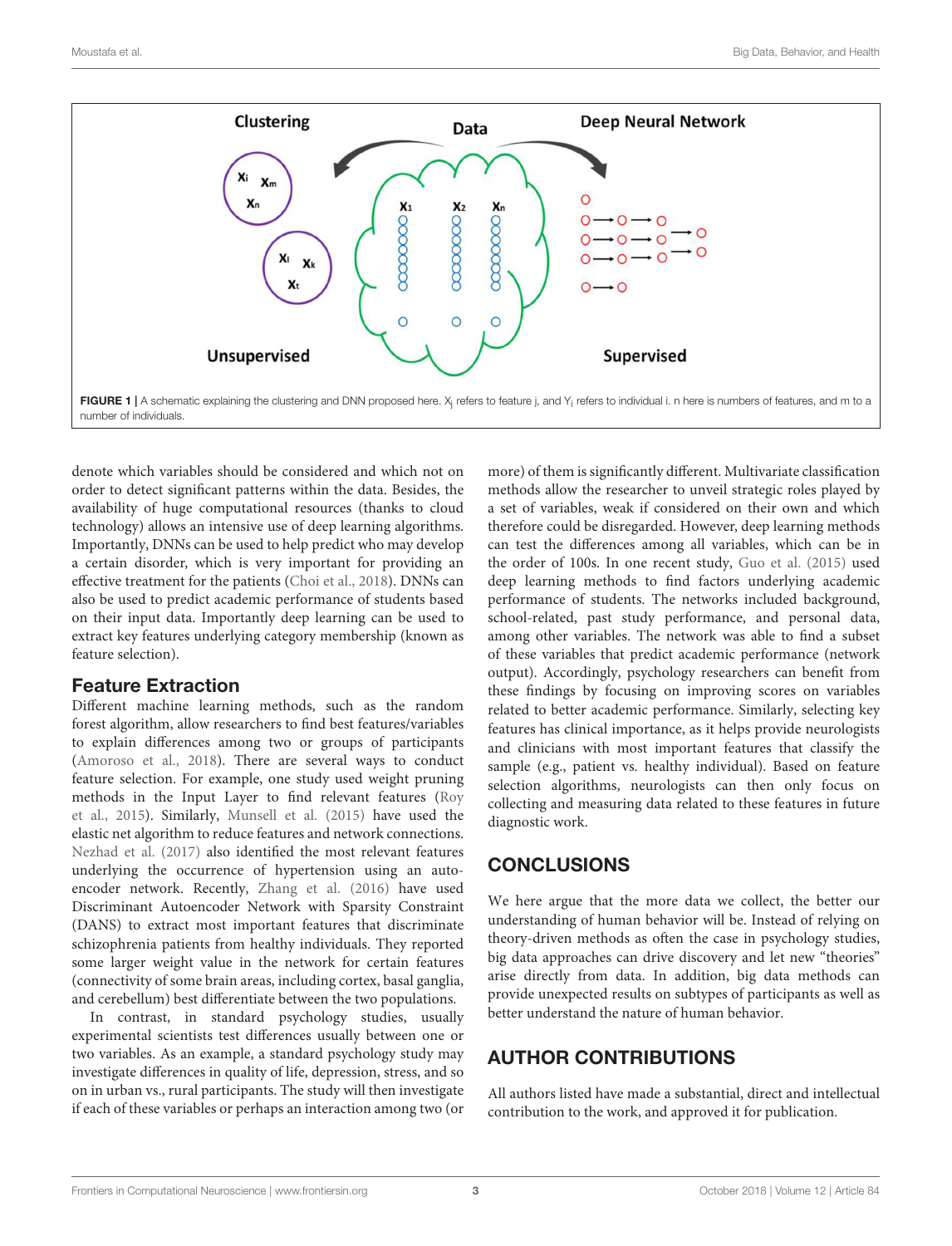

<span id="page-3-0"></span>denote which variables should be considered and which not on order to detect significant patterns within the data. Besides, the availability of huge computational resources (thanks to cloud technology) allows an intensive use of deep learning algorithms. Importantly, DNNs can be used to help predict who may develop a certain disorder, which is very important for providing an effective treatment for the patients [\(Choi et al., 2018\)](#page-4-17). DNNs can also be used to predict academic performance of students based on their input data. Importantly deep learning can be used to extract key features underlying category membership (known as feature selection).

#### Feature Extraction

Different machine learning methods, such as the random forest algorithm, allow researchers to find best features/variables to explain differences among two or groups of participants [\(Amoroso et al., 2018\)](#page-4-13). There are several ways to conduct feature selection. For example, one study used weight pruning methods in the Input Layer to find relevant features (Roy et al., [2015\)](#page-4-18). Similarly, [Munsell et al. \(2015\)](#page-4-19) have used the elastic net algorithm to reduce features and network connections. [Nezhad et al. \(2017\)](#page-4-20) also identified the most relevant features underlying the occurrence of hypertension using an autoencoder network. Recently, [Zhang et al. \(2016\)](#page-4-5) have used Discriminant Autoencoder Network with Sparsity Constraint (DANS) to extract most important features that discriminate schizophrenia patients from healthy individuals. They reported some larger weight value in the network for certain features (connectivity of some brain areas, including cortex, basal ganglia, and cerebellum) best differentiate between the two populations.

In contrast, in standard psychology studies, usually experimental scientists test differences usually between one or two variables. As an example, a standard psychology study may investigate differences in quality of life, depression, stress, and so on in urban vs., rural participants. The study will then investigate if each of these variables or perhaps an interaction among two (or more) of them is significantly different. Multivariate classification methods allow the researcher to unveil strategic roles played by a set of variables, weak if considered on their own and which therefore could be disregarded. However, deep learning methods can test the differences among all variables, which can be in the order of 100s. In one recent study, [Guo et al. \(2015\)](#page-4-21) used deep learning methods to find factors underlying academic performance of students. The networks included background, school-related, past study performance, and personal data, among other variables. The network was able to find a subset of these variables that predict academic performance (network output). Accordingly, psychology researchers can benefit from these findings by focusing on improving scores on variables related to better academic performance. Similarly, selecting key features has clinical importance, as it helps provide neurologists and clinicians with most important features that classify the sample (e.g., patient vs. healthy individual). Based on feature selection algorithms, neurologists can then only focus on collecting and measuring data related to these features in future diagnostic work.

## **CONCLUSIONS**

We here argue that the more data we collect, the better our understanding of human behavior will be. Instead of relying on theory-driven methods as often the case in psychology studies, big data approaches can drive discovery and let new "theories" arise directly from data. In addition, big data methods can provide unexpected results on subtypes of participants as well as better understand the nature of human behavior.

## AUTHOR CONTRIBUTIONS

All authors listed have made a substantial, direct and intellectual contribution to the work, and approved it for publication.